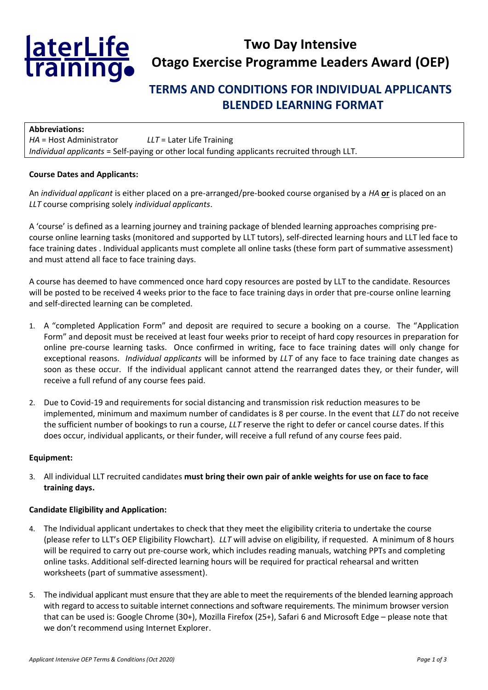# laterLife<br>Iraining

## **Two Day Intensive Otago Exercise Programme Leaders Award (OEP)**

### **TERMS AND CONDITIONS FOR INDIVIDUAL APPLICANTS BLENDED LEARNING FORMAT**

**Abbreviations:** *HA* = Host Administrator *LLT* = Later Life Training *Individual applicants* = Self-paying or other local funding applicants recruited through LLT.

#### **Course Dates and Applicants:**

An *individual applicant* is either placed on a pre-arranged/pre-booked course organised by a *HA* **or** is placed on an *LLT* course comprising solely *individual applicants*.

A 'course' is defined as a learning journey and training package of blended learning approaches comprising precourse online learning tasks (monitored and supported by LLT tutors), self-directed learning hours and LLT led face to face training dates . Individual applicants must complete all online tasks (these form part of summative assessment) and must attend all face to face training days.

A course has deemed to have commenced once hard copy resources are posted by LLT to the candidate. Resources will be posted to be received 4 weeks prior to the face to face training days in order that pre-course online learning and self-directed learning can be completed.

- 1. A "completed Application Form" and deposit are required to secure a booking on a course. The "Application Form" and deposit must be received at least four weeks prior to receipt of hard copy resources in preparation for online pre-course learning tasks. Once confirmed in writing, face to face training dates will only change for exceptional reasons. *Individual applicants* will be informed by *LLT* of any face to face training date changes as soon as these occur. If the individual applicant cannot attend the rearranged dates they, or their funder, will receive a full refund of any course fees paid.
- 2. Due to Covid-19 and requirements for social distancing and transmission risk reduction measures to be implemented, minimum and maximum number of candidates is 8 per course. In the event that *LLT* do not receive the sufficient number of bookings to run a course, *LLT* reserve the right to defer or cancel course dates. If this does occur, individual applicants, or their funder, will receive a full refund of any course fees paid.

#### **Equipment:**

3. All individual LLT recruited candidates **must bring their own pair of ankle weights for use on face to face training days.**

#### **Candidate Eligibility and Application:**

- 4. The Individual applicant undertakes to check that they meet the eligibility criteria to undertake the course (please refer to LLT's OEP Eligibility Flowchart). *LLT* will advise on eligibility*,* if requested. A minimum of 8 hours will be required to carry out pre-course work, which includes reading manuals, watching PPTs and completing online tasks. Additional self-directed learning hours will be required for practical rehearsal and written worksheets (part of summative assessment).
- 5. The individual applicant must ensure that they are able to meet the requirements of the blended learning approach with regard to access to suitable internet connections and software requirements. The minimum browser version that can be used is: Google Chrome (30+), Mozilla Firefox (25+), Safari 6 and Microsoft Edge – please note that we don't recommend using Internet Explorer.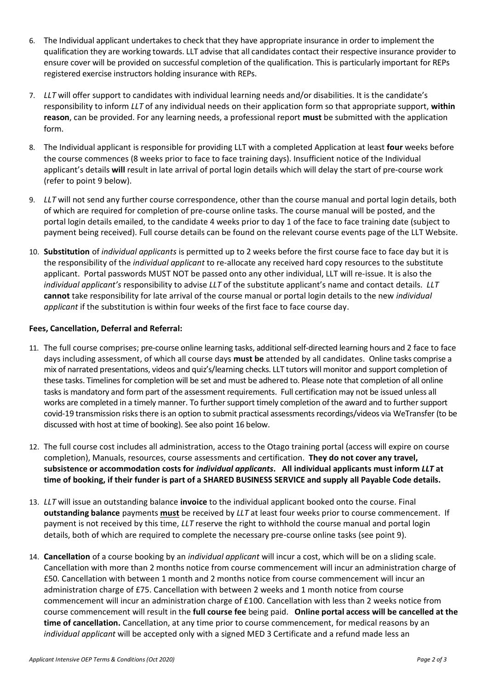- 6. The Individual applicant undertakes to check that they have appropriate insurance in order to implement the qualification they are working towards. LLT advise that all candidates contact their respective insurance provider to ensure cover will be provided on successful completion of the qualification. This is particularly important for REPs registered exercise instructors holding insurance with REPs.
- 7. *LLT* will offer support to candidates with individual learning needs and/or disabilities. It is the candidate's responsibility to inform *LLT* of any individual needs on their application form so that appropriate support, **within reason**, can be provided. For any learning needs, a professional report **must** be submitted with the application form.
- 8. The Individual applicant is responsible for providing LLT with a completed Application at least **four** weeks before the course commences (8 weeks prior to face to face training days). Insufficient notice of the Individual applicant's details **will** result in late arrival of portal login details which will delay the start of pre-course work (refer to point 9 below).
- 9. *LLT* will not send any further course correspondence, other than the course manual and portal login details, both of which are required for completion of pre-course online tasks. The course manual will be posted, and the portal login details emailed, to the candidate 4 weeks prior to day 1 of the face to face training date (subject to payment being received). Full course details can be found on the relevant course events page of the LLT Website.
- 10. **Substitution** of *individual applicants* is permitted up to 2 weeks before the first course face to face day but it is the responsibility of the *individual applicant* to re-allocate any received hard copy resources to the substitute applicant. Portal passwords MUST NOT be passed onto any other individual, LLT will re-issue. It is also the *individual applicant's* responsibility to advise *LLT* of the substitute applicant's name and contact details. *LLT* **cannot** take responsibility for late arrival of the course manual or portal login details to the new *individual applicant* if the substitution is within four weeks of the first face to face course day.

#### **Fees, Cancellation, Deferral and Referral:**

- 11. The full course comprises; pre-course online learning tasks, additional self-directed learning hours and 2 face to face days including assessment, of which all course days **must be** attended by all candidates. Online tasks comprise a mix of narrated presentations, videos and quiz's/learning checks. LLT tutors will monitor and support completion of these tasks. Timelines for completion will be set and must be adhered to. Please note that completion of all online tasks is mandatory and form part of the assessment requirements. Full certification may not be issued unless all works are completed in a timely manner. To further support timely completion of the award and to further support covid-19 transmission risks there is an option to submit practical assessments recordings/videos via WeTransfer (to be discussed with host at time of booking). See also point 16 below.
- 12. The full course cost includes all administration, access to the Otago training portal (access will expire on course completion), Manuals, resources, course assessments and certification. **They do not cover any travel, subsistence or accommodation costs for** *individual applicants***. All individual applicants must inform** *LLT* **at time of booking, if their funder is part of a SHARED BUSINESS SERVICE and supply all Payable Code details.**
- 13. *LLT* will issue an outstanding balance **invoice** to the individual applicant booked onto the course. Final **outstanding balance** payments **must** be received by *LLT* at least four weeks prior to course commencement. If payment is not received by this time, *LLT* reserve the right to withhold the course manual and portal login details, both of which are required to complete the necessary pre-course online tasks (see point 9).
- 14. **Cancellation** of a course booking by an *individual applicant* will incur a cost, which will be on a sliding scale. Cancellation with more than 2 months notice from course commencement will incur an administration charge of £50. Cancellation with between 1 month and 2 months notice from course commencement will incur an administration charge of £75. Cancellation with between 2 weeks and 1 month notice from course commencement will incur an administration charge of £100. Cancellation with less than 2 weeks notice from course commencement will result in the **full course fee** being paid. **Online portal access will be cancelled at the time of cancellation.** Cancellation, at any time prior to course commencement, for medical reasons by an *individual applicant* will be accepted only with a signed MED 3 Certificate and a refund made less an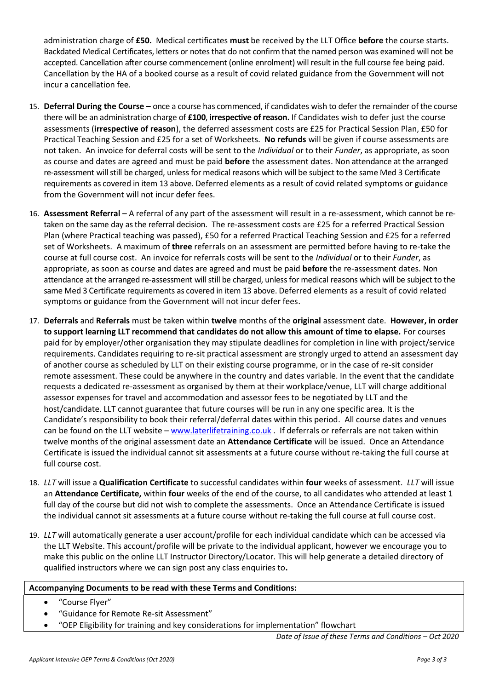administration charge of **£50.** Medical certificates **must** be received by the LLT Office **before** the course starts. Backdated Medical Certificates, letters or notes that do not confirm that the named person was examined will not be accepted. Cancellation after course commencement (online enrolment) will result in the full course fee being paid. Cancellation by the HA of a booked course as a result of covid related guidance from the Government will not incur a cancellation fee.

- 15. **Deferral During the Course** once a course has commenced, if candidates wish to defer the remainder of the course there will be an administration charge of **£100**, **irrespective of reason.** If Candidates wish to defer just the course assessments (**irrespective of reason**), the deferred assessment costs are £25 for Practical Session Plan, £50 for Practical Teaching Session and £25 for a set of Worksheets. **No refunds** will be given if course assessments are not taken. An invoice for deferral costs will be sent to the *Individual* or to their *Funder*, as appropriate, as soon as course and dates are agreed and must be paid **before** the assessment dates. Non attendance at the arranged re-assessment will still be charged, unless for medical reasons which will be subject to the same Med 3 Certificate requirements as covered in item 13 above. Deferred elements as a result of covid related symptoms or guidance from the Government will not incur defer fees.
- 16. **Assessment Referral**  A referral of any part of the assessment will result in a re-assessment, which cannot be retaken on the same day as the referral decision. The re-assessment costs are £25 for a referred Practical Session Plan (where Practical teaching was passed), £50 for a referred Practical Teaching Session and £25 for a referred set of Worksheets. A maximum of **three** referrals on an assessment are permitted before having to re-take the course at full course cost. An invoice for referrals costs will be sent to the *Individual* or to their *Funder*, as appropriate, as soon as course and dates are agreed and must be paid **before** the re-assessment dates. Non attendance at the arranged re-assessment will still be charged, unless for medical reasons which will be subject to the same Med 3 Certificate requirements as covered in item 13 above. Deferred elements as a result of covid related symptoms or guidance from the Government will not incur defer fees.
- 17. **Deferrals** and **Referrals** must be taken within **twelve** months of the **original** assessment date. **However, in order to support learning LLT recommend that candidates do not allow this amount of time to elapse.** For courses paid for by employer/other organisation they may stipulate deadlines for completion in line with project/service requirements. Candidates requiring to re-sit practical assessment are strongly urged to attend an assessment day of another course as scheduled by LLT on their existing course programme, or in the case of re-sit consider remote assessment. These could be anywhere in the country and dates variable. In the event that the candidate requests a dedicated re-assessment as organised by them at their workplace/venue, LLT will charge additional assessor expenses for travel and accommodation and assessor fees to be negotiated by LLT and the host/candidate. LLT cannot guarantee that future courses will be run in any one specific area. It is the Candidate's responsibility to book their referral/deferral dates within this period. All course dates and venues can be found on the LLT website – [www.laterlifetraining.co.uk](http://www.laterlifetraining.co.uk/) . If deferrals or referrals are not taken within twelve months of the original assessment date an **Attendance Certificate** will be issued. Once an Attendance Certificate is issued the individual cannot sit assessments at a future course without re-taking the full course at full course cost.
- 18. *LLT* will issue a **Qualification Certificate** to successful candidates within **four** weeks of assessment. *LLT* will issue an **Attendance Certificate,** within **four** weeks of the end of the course, to all candidates who attended at least 1 full day of the course but did not wish to complete the assessments. Once an Attendance Certificate is issued the individual cannot sit assessments at a future course without re-taking the full course at full course cost.
- 19. *LLT* will automatically generate a user account/profile for each individual candidate which can be accessed via the LLT Website. This account/profile will be private to the individual applicant, however we encourage you to make this public on the online LLT Instructor Directory/Locator. This will help generate a detailed directory of qualified instructors where we can sign post any class enquiries to**.**

#### **Accompanying Documents to be read with these Terms and Conditions:**

- "Course Flyer"
- "Guidance for Remote Re-sit Assessment"
- "OEP Eligibility for training and key considerations for implementation" flowchart

*Date of Issue of these Terms and Conditions – Oct 2020*